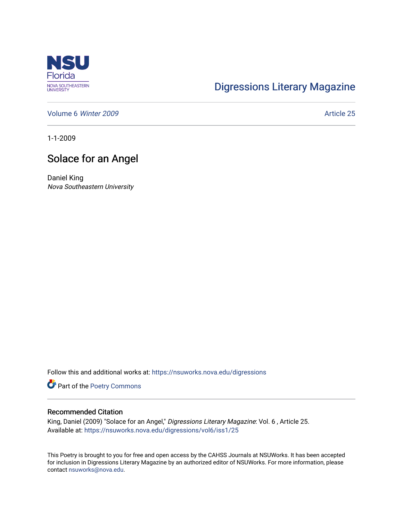

## [Digressions Literary Magazine](https://nsuworks.nova.edu/digressions)

[Volume 6](https://nsuworks.nova.edu/digressions/vol6) Winter 2009 **Article 25** 

1-1-2009

## Solace for an Angel

Daniel King Nova Southeastern University

Follow this and additional works at: [https://nsuworks.nova.edu/digressions](https://nsuworks.nova.edu/digressions?utm_source=nsuworks.nova.edu%2Fdigressions%2Fvol6%2Fiss1%2F25&utm_medium=PDF&utm_campaign=PDFCoverPages) 

Part of the [Poetry Commons](http://network.bepress.com/hgg/discipline/1153?utm_source=nsuworks.nova.edu%2Fdigressions%2Fvol6%2Fiss1%2F25&utm_medium=PDF&utm_campaign=PDFCoverPages) 

## Recommended Citation

King, Daniel (2009) "Solace for an Angel," Digressions Literary Magazine: Vol. 6, Article 25. Available at: [https://nsuworks.nova.edu/digressions/vol6/iss1/25](https://nsuworks.nova.edu/digressions/vol6/iss1/25?utm_source=nsuworks.nova.edu%2Fdigressions%2Fvol6%2Fiss1%2F25&utm_medium=PDF&utm_campaign=PDFCoverPages) 

This Poetry is brought to you for free and open access by the CAHSS Journals at NSUWorks. It has been accepted for inclusion in Digressions Literary Magazine by an authorized editor of NSUWorks. For more information, please contact [nsuworks@nova.edu.](mailto:nsuworks@nova.edu)